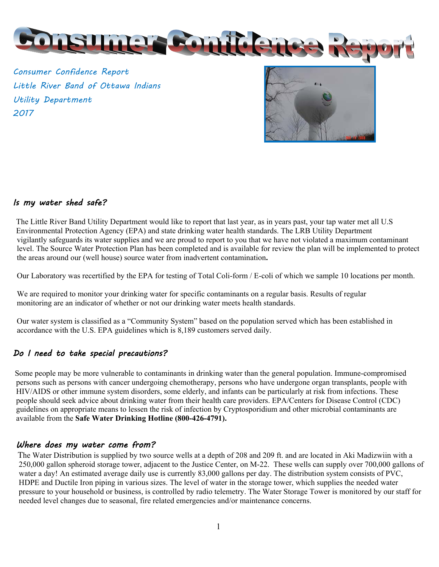

Consumer Confidence Report Little River Band of Ottawa Indians Utility Department 2017



#### Is my water shed safe?

The Little River Band Utility Department would like to report that last year, as in years past, your tap water met all U.S Environmental Protection Agency (EPA) and state drinking water health standards. The LRB Utility Department vigilantly safeguards its water supplies and we are proud to report to you that we have not violated a maximum contaminant level. The Source Water Protection Plan has been completed and is available for review the plan will be implemented to protect the areas around our (well house) source water from inadvertent contamination**.** 

Our Laboratory was recertified by the EPA for testing of Total Coli-form / E-coli of which we sample 10 locations per month.

 We are required to monitor your drinking water for specific contaminants on a regular basis. Results of regular monitoring are an indicator of whether or not our drinking water meets health standards.

 Our water system is classified as a "Community System" based on the population served which has been established in accordance with the U.S. EPA guidelines which is 8,189 customers served daily.

#### Do I need to take special precautions?

 Some people may be more vulnerable to contaminants in drinking water than the general population. Immune-compromised persons such as persons with cancer undergoing chemotherapy, persons who have undergone organ transplants, people with HIV/AIDS or other immune system disorders, some elderly, and infants can be particularly at risk from infections. These people should seek advice about drinking water from their health care providers. EPA/Centers for Disease Control (CDC) guidelines on appropriate means to lessen the risk of infection by Cryptosporidium and other microbial contaminants are available from the **Safe Water Drinking Hotline (800-426-4791).** 

#### Where does my water come from?

 The Water Distribution is supplied by two source wells at a depth of 208 and 209 ft. and are located in Aki Madizwiin with a 250,000 gallon spheroid storage tower, adjacent to the Justice Center, on M-22. These wells can supply over 700,000 gallons of water a day! An estimated average daily use is currently 83,000 gallons per day. The distribution system consists of PVC, HDPE and Ductile Iron piping in various sizes. The level of water in the storage tower, which supplies the needed water pressure to your household or business, is controlled by radio telemetry. The Water Storage Tower is monitored by our staff for needed level changes due to seasonal, fire related emergencies and/or maintenance concerns.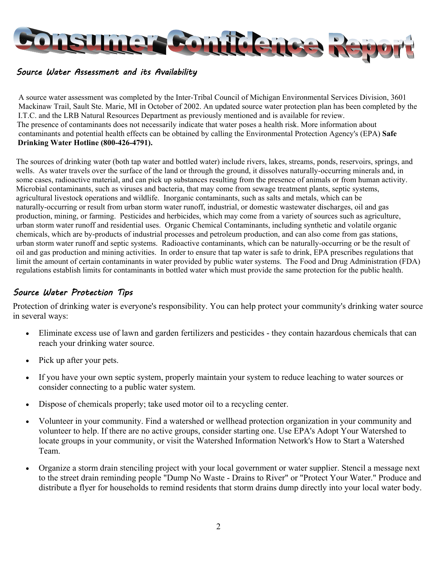

#### Source Water Assessment and its Availability

 A source water assessment was completed by the Inter-Tribal Council of Michigan Environmental Services Division, 3601 Mackinaw Trail, Sault Ste. Marie, MI in October of 2002. An updated source water protection plan has been completed by the I.T.C. and the LRB Natural Resources Department as previously mentioned and is available for review. The presence of contaminants does not necessarily indicate that water poses a health risk. More information about contaminants and potential health effects can be obtained by calling the Environmental Protection Agency's (EPA) **Safe Drinking Water Hotline (800-426-4791).** 

The sources of drinking water (both tap water and bottled water) include rivers, lakes, streams, ponds, reservoirs, springs, and wells. As water travels over the surface of the land or through the ground, it dissolves naturally-occurring minerals and, in some cases, radioactive material, and can pick up substances resulting from the presence of animals or from human activity. Microbial contaminants, such as viruses and bacteria, that may come from sewage treatment plants, septic systems, agricultural livestock operations and wildlife. Inorganic contaminants, such as salts and metals, which can be naturally-occurring or result from urban storm water runoff, industrial, or domestic wastewater discharges, oil and gas production, mining, or farming. Pesticides and herbicides, which may come from a variety of sources such as agriculture, urban storm water runoff and residential uses. Organic Chemical Contaminants, including synthetic and volatile organic chemicals, which are by-products of industrial processes and petroleum production, and can also come from gas stations, urban storm water runoff and septic systems. Radioactive contaminants, which can be naturally-occurring or be the result of oil and gas production and mining activities. In order to ensure that tap water is safe to drink, EPA prescribes regulations that limit the amount of certain contaminants in water provided by public water systems. The Food and Drug Administration (FDA) regulations establish limits for contaminants in bottled water which must provide the same protection for the public health.

### Source Water Protection Tips

Protection of drinking water is everyone's responsibility. You can help protect your community's drinking water source in several ways:

- Eliminate excess use of lawn and garden fertilizers and pesticides they contain hazardous chemicals that can reach your drinking water source.
- Pick up after your pets.
- If you have your own septic system, properly maintain your system to reduce leaching to water sources or consider connecting to a public water system.
- Dispose of chemicals properly; take used motor oil to a recycling center.
- Volunteer in your community. Find a watershed or wellhead protection organization in your community and volunteer to help. If there are no active groups, consider starting one. Use EPA's Adopt Your Watershed to locate groups in your community, or visit the Watershed Information Network's How to Start a Watershed Team.
- Organize a storm drain stenciling project with your local government or water supplier. Stencil a message next to the street drain reminding people "Dump No Waste - Drains to River" or "Protect Your Water." Produce and distribute a flyer for households to remind residents that storm drains dump directly into your local water body.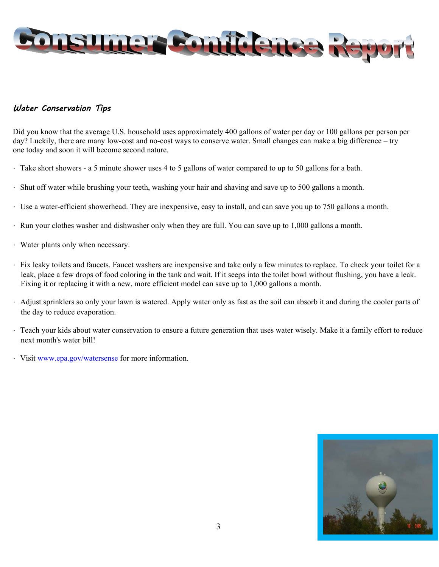

#### Water Conservation Tips

Did you know that the average U.S. household uses approximately 400 gallons of water per day or 100 gallons per person per day? Luckily, there are many low-cost and no-cost ways to conserve water. Small changes can make a big difference – try one today and soon it will become second nature.

- ・ Take short showers a 5 minute shower uses 4 to 5 gallons of water compared to up to 50 gallons for a bath.
- ・ Shut off water while brushing your teeth, washing your hair and shaving and save up to 500 gallons a month.
- ・ Use a water-efficient showerhead. They are inexpensive, easy to install, and can save you up to 750 gallons a month.
- ・ Run your clothes washer and dishwasher only when they are full. You can save up to 1,000 gallons a month.
- ・ Water plants only when necessary.
- ・ Fix leaky toilets and faucets. Faucet washers are inexpensive and take only a few minutes to replace. To check your toilet for a leak, place a few drops of food coloring in the tank and wait. If it seeps into the toilet bowl without flushing, you have a leak. Fixing it or replacing it with a new, more efficient model can save up to 1,000 gallons a month.
- ・ Adjust sprinklers so only your lawn is watered. Apply water only as fast as the soil can absorb it and during the cooler parts of the day to reduce evaporation.
- ・ Teach your kids about water conservation to ensure a future generation that uses water wisely. Make it a family effort to reduce next month's water bill!
- ・ Visit www.epa.gov/watersense for more information.

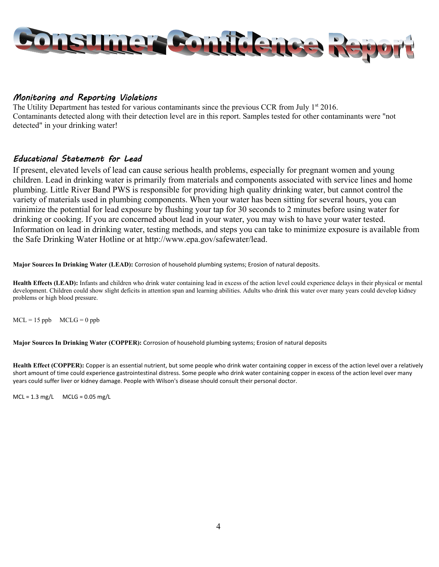

#### Monitoring and Reporting Violations

The Utility Department has tested for various contaminants since the previous CCR from July  $1^{st}$  2016. Contaminants detected along with their detection level are in this report. Samples tested for other contaminants were "not detected" in your drinking water!

#### Educational Statement for Lead

If present, elevated levels of lead can cause serious health problems, especially for pregnant women and young children. Lead in drinking water is primarily from materials and components associated with service lines and home plumbing. Little River Band PWS is responsible for providing high quality drinking water, but cannot control the variety of materials used in plumbing components. When your water has been sitting for several hours, you can minimize the potential for lead exposure by flushing your tap for 30 seconds to 2 minutes before using water for drinking or cooking. If you are concerned about lead in your water, you may wish to have your water tested. Information on lead in drinking water, testing methods, and steps you can take to minimize exposure is available from the Safe Drinking Water Hotline or at http://www.epa.gov/safewater/lead.

**Major Sources In Drinking Water (LEAD):** Corrosion of household plumbing systems; Erosion of natural deposits.

**Health Effects (LEAD):** Infants and children who drink water containing lead in excess of the action level could experience delays in their physical or mental development. Children could show slight deficits in attention span and learning abilities. Adults who drink this water over many years could develop kidney problems or high blood pressure.

 $MCL = 15$  ppb  $MCLG = 0$  ppb

**Major Sources In Drinking Water (COPPER):** Corrosion of household plumbing systems; Erosion of natural deposits

**Health Effect (COPPER):** Copper is an essential nutrient, but some people who drink water containing copper in excess of the action level over a relatively short amount of time could experience gastrointestinal distress. Some people who drink water containing copper in excess of the action level over many years could suffer liver or kidney damage. People with Wilson's disease should consult their personal doctor.

 $MCL = 1.3$  mg/L  $MCLG = 0.05$  mg/L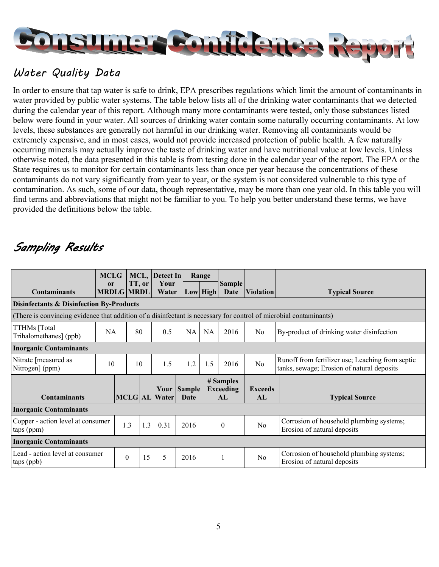

## Water Quality Data

In order to ensure that tap water is safe to drink, EPA prescribes regulations which limit the amount of contaminants in water provided by public water systems. The table below lists all of the drinking water contaminants that we detected during the calendar year of this report. Although many more contaminants were tested, only those substances listed below were found in your water. All sources of drinking water contain some naturally occurring contaminants. At low levels, these substances are generally not harmful in our drinking water. Removing all contaminants would be extremely expensive, and in most cases, would not provide increased protection of public health. A few naturally occurring minerals may actually improve the taste of drinking water and have nutritional value at low levels. Unless otherwise noted, the data presented in this table is from testing done in the calendar year of the report. The EPA or the State requires us to monitor for certain contaminants less than once per year because the concentrations of these contaminants do not vary significantly from year to year, or the system is not considered vulnerable to this type of contamination. As such, some of our data, though representative, may be more than one year old. In this table you will find terms and abbreviations that might not be familiar to you. To help you better understand these terms, we have provided the definitions below the table.

# Sampling Results

|                                                                                                                   | <b>MCLG</b> |                   |        | MCL, Detect In                      |      | Range    |                                     |                      |                                                                                                |
|-------------------------------------------------------------------------------------------------------------------|-------------|-------------------|--------|-------------------------------------|------|----------|-------------------------------------|----------------------|------------------------------------------------------------------------------------------------|
| <b>Contaminants</b>                                                                                               | or          | <b>MRDLG MRDL</b> | TT, or | Your<br>Water                       |      | Low High | <b>Sample</b><br>Date               | <b>Violation</b>     | <b>Typical Source</b>                                                                          |
| <b>Disinfectants &amp; Disinfection By-Products</b>                                                               |             |                   |        |                                     |      |          |                                     |                      |                                                                                                |
| (There is convincing evidence that addition of a disinfectant is necessary for control of microbial contaminants) |             |                   |        |                                     |      |          |                                     |                      |                                                                                                |
| TTHMs [Total<br>Trihalomethanes] (ppb)                                                                            | NA          |                   | 80     | 0.5                                 | NA   | NA       | 2016                                | No                   | By-product of drinking water disinfection                                                      |
| <b>Inorganic Contaminants</b>                                                                                     |             |                   |        |                                     |      |          |                                     |                      |                                                                                                |
| Nitrate [measured as<br>Nitrogen] (ppm)                                                                           | 10          |                   | 10     | 1.5                                 | 1.2  | 1.5      | 2016                                | N <sub>0</sub>       | Runoff from fertilizer use; Leaching from septic<br>tanks, sewage; Erosion of natural deposits |
| <b>Contaminants</b>                                                                                               |             |                   |        | Your Sample<br><b>MCLG</b> AL Water | Date |          | # Samples<br><b>Exceeding</b><br>AL | <b>Exceeds</b><br>AL | <b>Typical Source</b>                                                                          |
| <b>Inorganic Contaminants</b>                                                                                     |             |                   |        |                                     |      |          |                                     |                      |                                                                                                |
| Copper - action level at consumer<br>taps (ppm)                                                                   |             | 1.3               | 1.3    | 0.31                                | 2016 |          | $\mathbf{0}$                        | N <sub>o</sub>       | Corrosion of household plumbing systems;<br>Erosion of natural deposits                        |
| <b>Inorganic Contaminants</b>                                                                                     |             |                   |        |                                     |      |          |                                     |                      |                                                                                                |
| Lead - action level at consumer<br>taps (ppb)                                                                     |             | $\theta$          | 15     | 5                                   | 2016 |          |                                     | N <sub>o</sub>       | Corrosion of household plumbing systems;<br>Erosion of natural deposits                        |